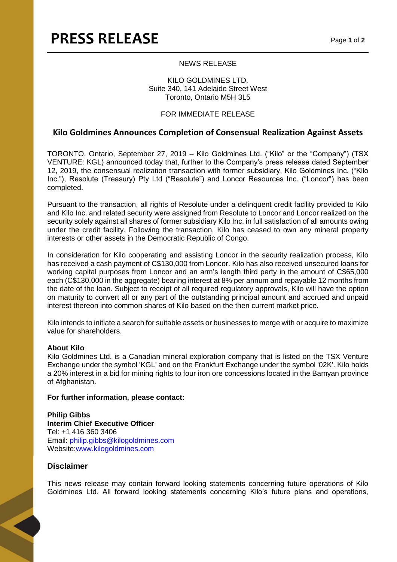## NEWS RELEASE

### KILO GOLDMINES LTD. Suite 340, 141 Adelaide Street West Toronto, Ontario M5H 3L5

# FOR IMMEDIATE RELEASE

# **Kilo Goldmines Announces Completion of Consensual Realization Against Assets**

TORONTO, Ontario, September 27, 2019 – Kilo Goldmines Ltd. ("Kilo" or the "Company") (TSX VENTURE: KGL) announced today that, further to the Company's press release dated September 12, 2019, the consensual realization transaction with former subsidiary, Kilo Goldmines Inc. ("Kilo Inc."), Resolute (Treasury) Pty Ltd ("Resolute") and Loncor Resources Inc. ("Loncor") has been completed.

Pursuant to the transaction, all rights of Resolute under a delinquent credit facility provided to Kilo and Kilo Inc. and related security were assigned from Resolute to Loncor and Loncor realized on the security solely against all shares of former subsidiary Kilo Inc. in full satisfaction of all amounts owing under the credit facility. Following the transaction, Kilo has ceased to own any mineral property interests or other assets in the Democratic Republic of Congo.

In consideration for Kilo cooperating and assisting Loncor in the security realization process, Kilo has received a cash payment of C\$130,000 from Loncor. Kilo has also received unsecured loans for working capital purposes from Loncor and an arm's length third party in the amount of C\$65,000 each (C\$130,000 in the aggregate) bearing interest at 8% per annum and repayable 12 months from the date of the loan. Subject to receipt of all required regulatory approvals, Kilo will have the option on maturity to convert all or any part of the outstanding principal amount and accrued and unpaid interest thereon into common shares of Kilo based on the then current market price.

Kilo intends to initiate a search for suitable assets or businesses to merge with or acquire to maximize value for shareholders.

### **About Kilo**

Kilo Goldmines Ltd. is a Canadian mineral exploration company that is listed on the TSX Venture Exchange under the symbol 'KGL' and on the Frankfurt Exchange under the symbol '02K'. Kilo holds a 20% interest in a bid for mining rights to four iron ore concessions located in the Bamyan province of Afghanistan.

#### **For further information, please contact:**

**Philip Gibbs Interim Chief Executive Officer**  Tel: +1 416 360 3406 Email: philip.gibbs@kilogoldmines.com Website:www.kilogoldmines.com

# **Disclaimer**

This news release may contain forward looking statements concerning future operations of Kilo Goldmines Ltd. All forward looking statements concerning Kilo's future plans and operations,